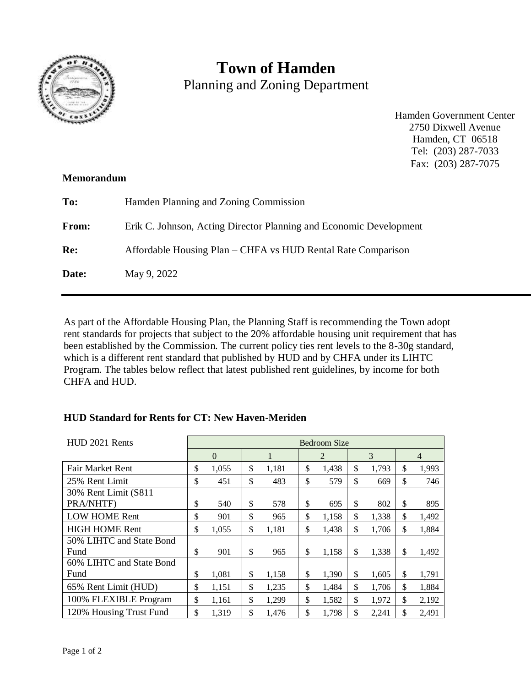

# **Town of Hamden** Planning and Zoning Department

Hamden Government Center 2750 Dixwell Avenue Hamden, CT 06518 Tel: (203) 287-7033 Fax: (203) 287-7075

### **Memorandum**

| To:          | Hamden Planning and Zoning Commission                              |
|--------------|--------------------------------------------------------------------|
| <b>From:</b> | Erik C. Johnson, Acting Director Planning and Economic Development |
| Re:          | Affordable Housing Plan – CHFA vs HUD Rental Rate Comparison       |
| Date:        | May 9, 2022                                                        |
|              |                                                                    |

As part of the Affordable Housing Plan, the Planning Staff is recommending the Town adopt rent standards for projects that subject to the 20% affordable housing unit requirement that has been established by the Commission. The current policy ties rent levels to the 8-30g standard, which is a different rent standard that published by HUD and by CHFA under its LIHTC Program. The tables below reflect that latest published rent guidelines, by income for both CHFA and HUD.

## **HUD Standard for Rents for CT: New Haven-Meriden**

| HUD 2021 Rents           |    | Bedroom Size |    |       |    |       |    |       |    |                |  |
|--------------------------|----|--------------|----|-------|----|-------|----|-------|----|----------------|--|
|                          |    | $\Omega$     |    |       |    | 2     |    | 3     |    | $\overline{4}$ |  |
| Fair Market Rent         | \$ | 1,055        | \$ | 1,181 | \$ | 1,438 | \$ | 1,793 | \$ | 1,993          |  |
| 25% Rent Limit           |    | 451          | \$ | 483   | \$ | 579   | \$ | 669   | \$ | 746            |  |
| 30% Rent Limit (S811)    |    |              |    |       |    |       |    |       |    |                |  |
| PRA/NHTF)                |    | 540          | \$ | 578   | \$ | 695   | \$ | 802   | \$ | 895            |  |
| <b>LOW HOME Rent</b>     |    | 901          | \$ | 965   | \$ | 1,158 | \$ | 1,338 | \$ | 1,492          |  |
| <b>HIGH HOME Rent</b>    |    | 1,055        | \$ | 1,181 | \$ | 1,438 | \$ | 1,706 | \$ | 1,884          |  |
| 50% LIHTC and State Bond |    |              |    |       |    |       |    |       |    |                |  |
| Fund                     |    | 901          | \$ | 965   | \$ | 1,158 | \$ | 1,338 | \$ | 1,492          |  |
| 60% LIHTC and State Bond |    |              |    |       |    |       |    |       |    |                |  |
| Fund                     |    | 1,081        | \$ | 1,158 | \$ | 1,390 | \$ | 1,605 | \$ | 1,791          |  |
| 65% Rent Limit (HUD)     |    | 1,151        | \$ | 1,235 | \$ | 1,484 | \$ | 1,706 | \$ | 1,884          |  |
| 100% FLEXIBLE Program    |    | 1,161        | \$ | 1,299 | \$ | 1,582 | \$ | 1,972 | \$ | 2,192          |  |
| 120% Housing Trust Fund  |    | 1,319        | \$ | 1,476 | \$ | 1,798 | \$ | 2,241 | \$ | 2,491          |  |